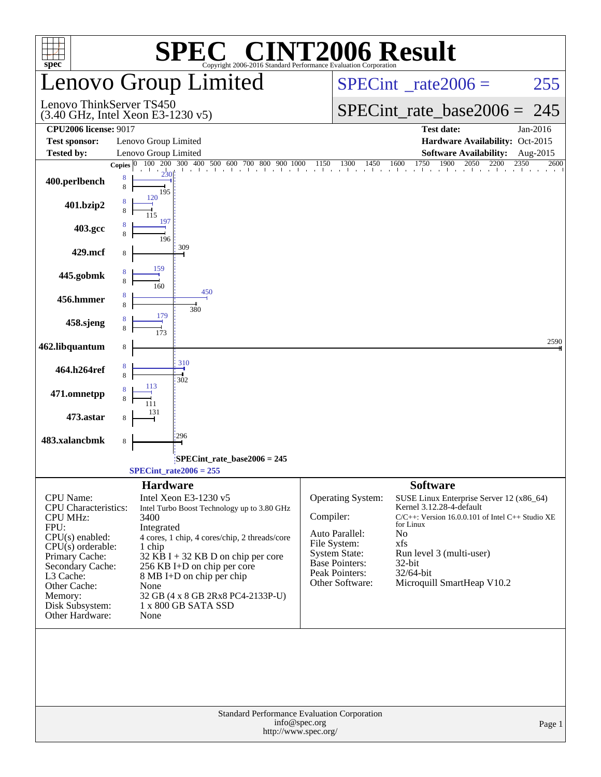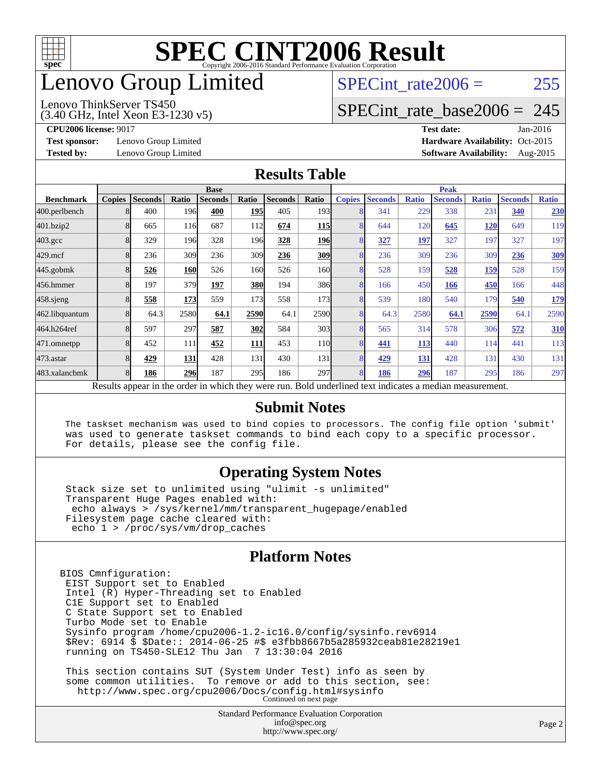

### enovo Group Limited

#### (3.40 GHz, Intel Xeon E3-1230 v5) Lenovo ThinkServer TS450

SPECint rate $2006 = 255$ 

#### [SPECint\\_rate\\_base2006 =](http://www.spec.org/auto/cpu2006/Docs/result-fields.html#SPECintratebase2006) 245

**[Test sponsor:](http://www.spec.org/auto/cpu2006/Docs/result-fields.html#Testsponsor)** Lenovo Group Limited **[Hardware Availability:](http://www.spec.org/auto/cpu2006/Docs/result-fields.html#HardwareAvailability)** Oct-2015

**[CPU2006 license:](http://www.spec.org/auto/cpu2006/Docs/result-fields.html#CPU2006license)** 9017 **[Test date:](http://www.spec.org/auto/cpu2006/Docs/result-fields.html#Testdate)** Jan-2016 **[Tested by:](http://www.spec.org/auto/cpu2006/Docs/result-fields.html#Testedby)** Lenovo Group Limited **[Software Availability:](http://www.spec.org/auto/cpu2006/Docs/result-fields.html#SoftwareAvailability)** Aug-2015

#### **[Results Table](http://www.spec.org/auto/cpu2006/Docs/result-fields.html#ResultsTable)**

|                    | <b>Base</b>   |                |                  |                                                                                                          |            |                |                  | <b>Peak</b>   |                |              |                |              |                |              |
|--------------------|---------------|----------------|------------------|----------------------------------------------------------------------------------------------------------|------------|----------------|------------------|---------------|----------------|--------------|----------------|--------------|----------------|--------------|
| <b>Benchmark</b>   | <b>Copies</b> | <b>Seconds</b> | Ratio            | <b>Seconds</b>                                                                                           | Ratio      | <b>Seconds</b> | Ratio            | <b>Copies</b> | <b>Seconds</b> | <b>Ratio</b> | <b>Seconds</b> | <b>Ratio</b> | <b>Seconds</b> | <b>Ratio</b> |
| 400.perlbench      | 8             | 400            | 196 <sub>l</sub> | 400                                                                                                      | <b>195</b> | 405            | 193I             | 8             | 341            | 229          | 338            | 231          | 340            | 230          |
| 401.bzip2          | 8             | 665            | 116              | 687                                                                                                      | 112        | 674            | <b>115</b>       | 8             | 644            | 120          | 645            | 120          | 649            | 119          |
| $403.\mathrm{gcc}$ | 8             | 329            | 196              | 328                                                                                                      | 196I       | 328            | <b>196</b>       | 8             | 327            | 197          | 327            | 197          | 327            | 197          |
| $429$ .mcf         | 8             | 236            | 309              | 236                                                                                                      | 309        | 236            | 309              | 8             | 236            | 309          | 236            | 309          | 236            | <u>309</u>   |
| $445$ .gobmk       | 8             | 526            | 160              | 526                                                                                                      | 160        | 526            | 160l             | 8             | 528            | 159          | 528            | <u>159</u>   | 528            | 159          |
| 456.hmmer          | 8             | 197            | 379              | 197                                                                                                      | 380        | 194            | 386              | 8             | 166            | 450          | 166            | 450          | 166            | 448          |
| $458$ .sjeng       | 8             | 558            | 173              | 559                                                                                                      | 173        | 558            | 173 <b>1</b>     | 8             | 539            | 180          | 540            | 179          | 540            | <u>179</u>   |
| 462.libquantum     | 8             | 64.3           | 2580             | 64.1                                                                                                     | 2590       | 64.1           | 2590             | 8             | 64.3           | 2580         | 64.1           | 2590         | 64.1           | 2590         |
| 464.h264ref        | 8             | 597            | 297              | 587                                                                                                      | 302        | 584            | 303              | 8             | 565            | 314          | 578            | 306          | 572            | <b>310</b>   |
| 471.omnetpp        | 8             | 452            | 111              | 452                                                                                                      | <b>111</b> | 453            | <b>110</b>       | 8             | 441            | 113          | 440            | 114          | 441            | 113          |
| $473$ . astar      | 8             | 429            | 131              | 428                                                                                                      | 131        | 430            | 131              | 8             | 429            | 131          | 428            | 131          | 430            | 131          |
| 483.xalancbmk      | 8             | 186            | 296              | 187                                                                                                      | 295        | 186            | 297 <sub>l</sub> | 8             | 186            | 296          | 187            | 295          | 186            | 297          |
|                    |               |                |                  | Results appear in the order in which they were run. Bold underlined text indicates a median measurement. |            |                |                  |               |                |              |                |              |                |              |

#### **[Submit Notes](http://www.spec.org/auto/cpu2006/Docs/result-fields.html#SubmitNotes)**

 The taskset mechanism was used to bind copies to processors. The config file option 'submit' was used to generate taskset commands to bind each copy to a specific processor. For details, please see the config file.

#### **[Operating System Notes](http://www.spec.org/auto/cpu2006/Docs/result-fields.html#OperatingSystemNotes)**

 Stack size set to unlimited using "ulimit -s unlimited" Transparent Huge Pages enabled with: echo always > /sys/kernel/mm/transparent\_hugepage/enabled Filesystem page cache cleared with: echo 1 > /proc/sys/vm/drop\_caches

#### **[Platform Notes](http://www.spec.org/auto/cpu2006/Docs/result-fields.html#PlatformNotes)**

BIOS Cmnfiguration: EIST Support set to Enabled Intel (R) Hyper-Threading set to Enabled C1E Support set to Enabled C State Support set to Enabled Turbo Mode set to Enable Sysinfo program /home/cpu2006-1.2-ic16.0/config/sysinfo.rev6914 \$Rev: 6914 \$ \$Date:: 2014-06-25 #\$ e3fbb8667b5a285932ceab81e28219e1 running on TS450-SLE12 Thu Jan 7 13:30:04 2016 This section contains SUT (System Under Test) info as seen by

 some common utilities. To remove or add to this section, see: <http://www.spec.org/cpu2006/Docs/config.html#sysinfo> Continued on next page

> Standard Performance Evaluation Corporation [info@spec.org](mailto:info@spec.org) <http://www.spec.org/>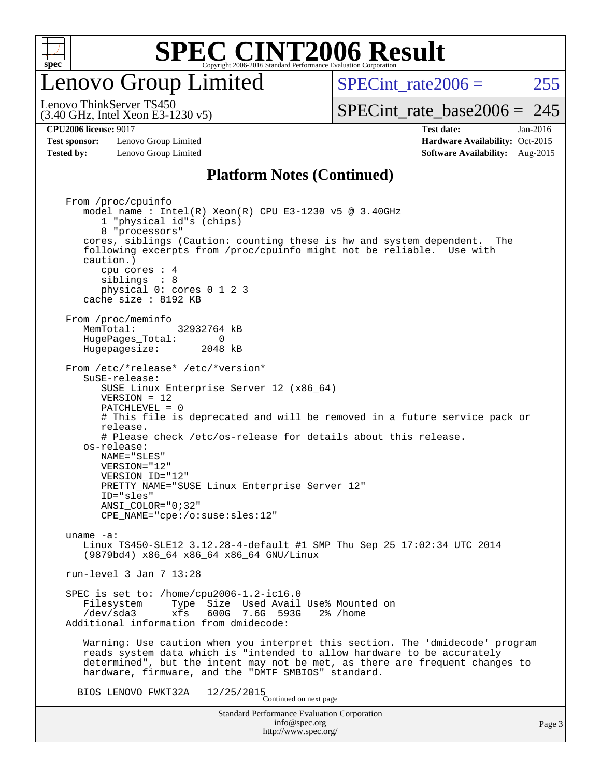

#### enovo Group Limited

SPECint rate $2006 = 255$ [SPECint\\_rate\\_base2006 =](http://www.spec.org/auto/cpu2006/Docs/result-fields.html#SPECintratebase2006) 245

(3.40 GHz, Intel Xeon E3-1230 v5) Lenovo ThinkServer TS450

**[Test sponsor:](http://www.spec.org/auto/cpu2006/Docs/result-fields.html#Testsponsor)** Lenovo Group Limited **[Hardware Availability:](http://www.spec.org/auto/cpu2006/Docs/result-fields.html#HardwareAvailability)** Oct-2015 **[Tested by:](http://www.spec.org/auto/cpu2006/Docs/result-fields.html#Testedby)** Lenovo Group Limited **[Software Availability:](http://www.spec.org/auto/cpu2006/Docs/result-fields.html#SoftwareAvailability)** Aug-2015

**[CPU2006 license:](http://www.spec.org/auto/cpu2006/Docs/result-fields.html#CPU2006license)** 9017 **[Test date:](http://www.spec.org/auto/cpu2006/Docs/result-fields.html#Testdate)** Jan-2016

#### **[Platform Notes \(Continued\)](http://www.spec.org/auto/cpu2006/Docs/result-fields.html#PlatformNotes)**

Standard Performance Evaluation Corporation [info@spec.org](mailto:info@spec.org) <http://www.spec.org/> From /proc/cpuinfo model name : Intel(R) Xeon(R) CPU E3-1230 v5 @ 3.40GHz 1 "physical id"s (chips) 8 "processors" cores, siblings (Caution: counting these is hw and system dependent. The following excerpts from /proc/cpuinfo might not be reliable. Use with caution.) cpu cores : 4 siblings : 8 physical 0: cores 0 1 2 3 cache size : 8192 KB From /proc/meminfo MemTotal: 32932764 kB HugePages\_Total: 0<br>Hugepagesize: 2048 kB Hugepagesize: From /etc/\*release\* /etc/\*version\* SuSE-release: SUSE Linux Enterprise Server 12 (x86\_64) VERSION = 12 PATCHLEVEL = 0 # This file is deprecated and will be removed in a future service pack or release. # Please check /etc/os-release for details about this release. os-release: NAME="SLES" VERSION="12" VERSION\_ID="12" PRETTY\_NAME="SUSE Linux Enterprise Server 12" ID="sles" ANSI\_COLOR="0;32" CPE\_NAME="cpe:/o:suse:sles:12" uname -a: Linux TS450-SLE12 3.12.28-4-default #1 SMP Thu Sep 25 17:02:34 UTC 2014 (9879bd4) x86\_64 x86\_64 x86\_64 GNU/Linux run-level 3 Jan 7 13:28 SPEC is set to: /home/cpu2006-1.2-ic16.0 Filesystem Type Size Used Avail Use% Mounted on<br>
/dev/sda3 xfs 600G 7.6G 593G 2% /home 600G 7.6G 593G Additional information from dmidecode: Warning: Use caution when you interpret this section. The 'dmidecode' program reads system data which is "intended to allow hardware to be accurately determined", but the intent may not be met, as there are frequent changes to hardware, firmware, and the "DMTF SMBIOS" standard. BIOS LENOVO FWKT32A  $12/25/2015$ <br>Continued on next page

Page 3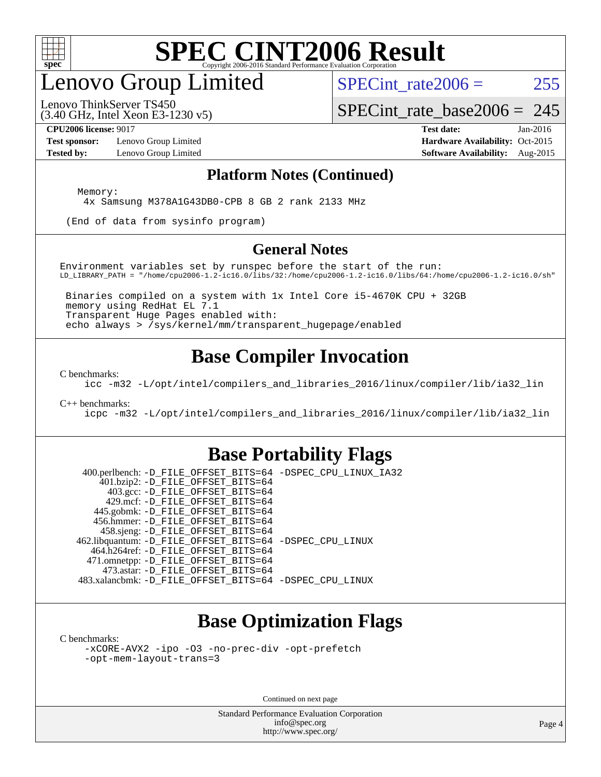

### enovo Group Limited

SPECint rate $2006 = 255$ 

(3.40 GHz, Intel Xeon E3-1230 v5) Lenovo ThinkServer TS450

[SPECint\\_rate\\_base2006 =](http://www.spec.org/auto/cpu2006/Docs/result-fields.html#SPECintratebase2006) 245

**[Test sponsor:](http://www.spec.org/auto/cpu2006/Docs/result-fields.html#Testsponsor)** Lenovo Group Limited **[Hardware Availability:](http://www.spec.org/auto/cpu2006/Docs/result-fields.html#HardwareAvailability)** Oct-2015

**[CPU2006 license:](http://www.spec.org/auto/cpu2006/Docs/result-fields.html#CPU2006license)** 9017 **[Test date:](http://www.spec.org/auto/cpu2006/Docs/result-fields.html#Testdate)** Jan-2016 **[Tested by:](http://www.spec.org/auto/cpu2006/Docs/result-fields.html#Testedby)** Lenovo Group Limited **[Software Availability:](http://www.spec.org/auto/cpu2006/Docs/result-fields.html#SoftwareAvailability)** Aug-2015

#### **[Platform Notes \(Continued\)](http://www.spec.org/auto/cpu2006/Docs/result-fields.html#PlatformNotes)**

Memory:

4x Samsung M378A1G43DB0-CPB 8 GB 2 rank 2133 MHz

(End of data from sysinfo program)

#### **[General Notes](http://www.spec.org/auto/cpu2006/Docs/result-fields.html#GeneralNotes)**

Environment variables set by runspec before the start of the run: LD\_LIBRARY\_PATH = "/home/cpu2006-1.2-ic16.0/libs/32:/home/cpu2006-1.2-ic16.0/libs/64:/home/cpu2006-1.2-ic16.0/sh"

 Binaries compiled on a system with 1x Intel Core i5-4670K CPU + 32GB memory using RedHat EL 7.1 Transparent Huge Pages enabled with: echo always > /sys/kernel/mm/transparent\_hugepage/enabled

#### **[Base Compiler Invocation](http://www.spec.org/auto/cpu2006/Docs/result-fields.html#BaseCompilerInvocation)**

[C benchmarks](http://www.spec.org/auto/cpu2006/Docs/result-fields.html#Cbenchmarks):

[icc -m32 -L/opt/intel/compilers\\_and\\_libraries\\_2016/linux/compiler/lib/ia32\\_lin](http://www.spec.org/cpu2006/results/res2016q1/cpu2006-20160125-38894.flags.html#user_CCbase_intel_icc_e10256ba5924b668798078a321b0cb3f)

[C++ benchmarks:](http://www.spec.org/auto/cpu2006/Docs/result-fields.html#CXXbenchmarks)

[icpc -m32 -L/opt/intel/compilers\\_and\\_libraries\\_2016/linux/compiler/lib/ia32\\_lin](http://www.spec.org/cpu2006/results/res2016q1/cpu2006-20160125-38894.flags.html#user_CXXbase_intel_icpc_b4f50a394bdb4597aa5879c16bc3f5c5)

#### **[Base Portability Flags](http://www.spec.org/auto/cpu2006/Docs/result-fields.html#BasePortabilityFlags)**

 400.perlbench: [-D\\_FILE\\_OFFSET\\_BITS=64](http://www.spec.org/cpu2006/results/res2016q1/cpu2006-20160125-38894.flags.html#user_basePORTABILITY400_perlbench_file_offset_bits_64_438cf9856305ebd76870a2c6dc2689ab) [-DSPEC\\_CPU\\_LINUX\\_IA32](http://www.spec.org/cpu2006/results/res2016q1/cpu2006-20160125-38894.flags.html#b400.perlbench_baseCPORTABILITY_DSPEC_CPU_LINUX_IA32) 401.bzip2: [-D\\_FILE\\_OFFSET\\_BITS=64](http://www.spec.org/cpu2006/results/res2016q1/cpu2006-20160125-38894.flags.html#user_basePORTABILITY401_bzip2_file_offset_bits_64_438cf9856305ebd76870a2c6dc2689ab) 403.gcc: [-D\\_FILE\\_OFFSET\\_BITS=64](http://www.spec.org/cpu2006/results/res2016q1/cpu2006-20160125-38894.flags.html#user_basePORTABILITY403_gcc_file_offset_bits_64_438cf9856305ebd76870a2c6dc2689ab) 429.mcf: [-D\\_FILE\\_OFFSET\\_BITS=64](http://www.spec.org/cpu2006/results/res2016q1/cpu2006-20160125-38894.flags.html#user_basePORTABILITY429_mcf_file_offset_bits_64_438cf9856305ebd76870a2c6dc2689ab) 445.gobmk: [-D\\_FILE\\_OFFSET\\_BITS=64](http://www.spec.org/cpu2006/results/res2016q1/cpu2006-20160125-38894.flags.html#user_basePORTABILITY445_gobmk_file_offset_bits_64_438cf9856305ebd76870a2c6dc2689ab) 456.hmmer: [-D\\_FILE\\_OFFSET\\_BITS=64](http://www.spec.org/cpu2006/results/res2016q1/cpu2006-20160125-38894.flags.html#user_basePORTABILITY456_hmmer_file_offset_bits_64_438cf9856305ebd76870a2c6dc2689ab) 458.sjeng: [-D\\_FILE\\_OFFSET\\_BITS=64](http://www.spec.org/cpu2006/results/res2016q1/cpu2006-20160125-38894.flags.html#user_basePORTABILITY458_sjeng_file_offset_bits_64_438cf9856305ebd76870a2c6dc2689ab) 462.libquantum: [-D\\_FILE\\_OFFSET\\_BITS=64](http://www.spec.org/cpu2006/results/res2016q1/cpu2006-20160125-38894.flags.html#user_basePORTABILITY462_libquantum_file_offset_bits_64_438cf9856305ebd76870a2c6dc2689ab) [-DSPEC\\_CPU\\_LINUX](http://www.spec.org/cpu2006/results/res2016q1/cpu2006-20160125-38894.flags.html#b462.libquantum_baseCPORTABILITY_DSPEC_CPU_LINUX) 464.h264ref: [-D\\_FILE\\_OFFSET\\_BITS=64](http://www.spec.org/cpu2006/results/res2016q1/cpu2006-20160125-38894.flags.html#user_basePORTABILITY464_h264ref_file_offset_bits_64_438cf9856305ebd76870a2c6dc2689ab) 471.omnetpp: [-D\\_FILE\\_OFFSET\\_BITS=64](http://www.spec.org/cpu2006/results/res2016q1/cpu2006-20160125-38894.flags.html#user_basePORTABILITY471_omnetpp_file_offset_bits_64_438cf9856305ebd76870a2c6dc2689ab) 473.astar: [-D\\_FILE\\_OFFSET\\_BITS=64](http://www.spec.org/cpu2006/results/res2016q1/cpu2006-20160125-38894.flags.html#user_basePORTABILITY473_astar_file_offset_bits_64_438cf9856305ebd76870a2c6dc2689ab) 483.xalancbmk: [-D\\_FILE\\_OFFSET\\_BITS=64](http://www.spec.org/cpu2006/results/res2016q1/cpu2006-20160125-38894.flags.html#user_basePORTABILITY483_xalancbmk_file_offset_bits_64_438cf9856305ebd76870a2c6dc2689ab) [-DSPEC\\_CPU\\_LINUX](http://www.spec.org/cpu2006/results/res2016q1/cpu2006-20160125-38894.flags.html#b483.xalancbmk_baseCXXPORTABILITY_DSPEC_CPU_LINUX)

#### **[Base Optimization Flags](http://www.spec.org/auto/cpu2006/Docs/result-fields.html#BaseOptimizationFlags)**

[C benchmarks](http://www.spec.org/auto/cpu2006/Docs/result-fields.html#Cbenchmarks):

[-xCORE-AVX2](http://www.spec.org/cpu2006/results/res2016q1/cpu2006-20160125-38894.flags.html#user_CCbase_f-xAVX2_5f5fc0cbe2c9f62c816d3e45806c70d7) [-ipo](http://www.spec.org/cpu2006/results/res2016q1/cpu2006-20160125-38894.flags.html#user_CCbase_f-ipo) [-O3](http://www.spec.org/cpu2006/results/res2016q1/cpu2006-20160125-38894.flags.html#user_CCbase_f-O3) [-no-prec-div](http://www.spec.org/cpu2006/results/res2016q1/cpu2006-20160125-38894.flags.html#user_CCbase_f-no-prec-div) [-opt-prefetch](http://www.spec.org/cpu2006/results/res2016q1/cpu2006-20160125-38894.flags.html#user_CCbase_f-opt-prefetch) [-opt-mem-layout-trans=3](http://www.spec.org/cpu2006/results/res2016q1/cpu2006-20160125-38894.flags.html#user_CCbase_f-opt-mem-layout-trans_a7b82ad4bd7abf52556d4961a2ae94d5)

Continued on next page

Standard Performance Evaluation Corporation [info@spec.org](mailto:info@spec.org) <http://www.spec.org/>

Page 4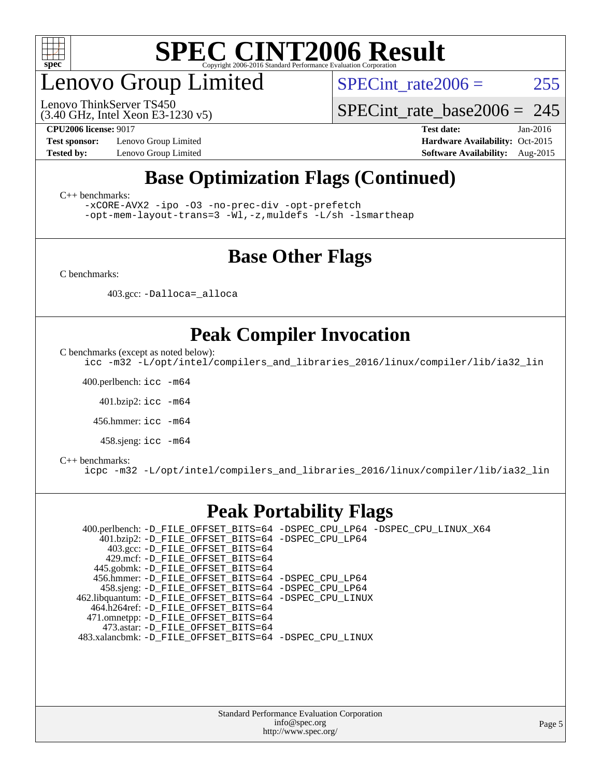

### enovo Group Limited

(3.40 GHz, Intel Xeon E3-1230 v5) Lenovo ThinkServer TS450

SPECint rate $2006 = 255$ 

SPECint rate base2006 =  $245$ 

**[Test sponsor:](http://www.spec.org/auto/cpu2006/Docs/result-fields.html#Testsponsor)** Lenovo Group Limited **[Hardware Availability:](http://www.spec.org/auto/cpu2006/Docs/result-fields.html#HardwareAvailability)** Oct-2015

**[CPU2006 license:](http://www.spec.org/auto/cpu2006/Docs/result-fields.html#CPU2006license)** 9017 **[Test date:](http://www.spec.org/auto/cpu2006/Docs/result-fields.html#Testdate)** Jan-2016 **[Tested by:](http://www.spec.org/auto/cpu2006/Docs/result-fields.html#Testedby)** Lenovo Group Limited **[Software Availability:](http://www.spec.org/auto/cpu2006/Docs/result-fields.html#SoftwareAvailability)** Aug-2015

#### **[Base Optimization Flags \(Continued\)](http://www.spec.org/auto/cpu2006/Docs/result-fields.html#BaseOptimizationFlags)**

[C++ benchmarks:](http://www.spec.org/auto/cpu2006/Docs/result-fields.html#CXXbenchmarks)

[-xCORE-AVX2](http://www.spec.org/cpu2006/results/res2016q1/cpu2006-20160125-38894.flags.html#user_CXXbase_f-xAVX2_5f5fc0cbe2c9f62c816d3e45806c70d7) [-ipo](http://www.spec.org/cpu2006/results/res2016q1/cpu2006-20160125-38894.flags.html#user_CXXbase_f-ipo) [-O3](http://www.spec.org/cpu2006/results/res2016q1/cpu2006-20160125-38894.flags.html#user_CXXbase_f-O3) [-no-prec-div](http://www.spec.org/cpu2006/results/res2016q1/cpu2006-20160125-38894.flags.html#user_CXXbase_f-no-prec-div) [-opt-prefetch](http://www.spec.org/cpu2006/results/res2016q1/cpu2006-20160125-38894.flags.html#user_CXXbase_f-opt-prefetch)

[-opt-mem-layout-trans=3](http://www.spec.org/cpu2006/results/res2016q1/cpu2006-20160125-38894.flags.html#user_CXXbase_f-opt-mem-layout-trans_a7b82ad4bd7abf52556d4961a2ae94d5) [-Wl,-z,muldefs](http://www.spec.org/cpu2006/results/res2016q1/cpu2006-20160125-38894.flags.html#user_CXXbase_link_force_multiple1_74079c344b956b9658436fd1b6dd3a8a) [-L/sh -lsmartheap](http://www.spec.org/cpu2006/results/res2016q1/cpu2006-20160125-38894.flags.html#user_CXXbase_SmartHeap_32f6c82aa1ed9c52345d30cf6e4a0499)

#### **[Base Other Flags](http://www.spec.org/auto/cpu2006/Docs/result-fields.html#BaseOtherFlags)**

[C benchmarks](http://www.spec.org/auto/cpu2006/Docs/result-fields.html#Cbenchmarks):

403.gcc: [-Dalloca=\\_alloca](http://www.spec.org/cpu2006/results/res2016q1/cpu2006-20160125-38894.flags.html#b403.gcc_baseEXTRA_CFLAGS_Dalloca_be3056838c12de2578596ca5467af7f3)

#### **[Peak Compiler Invocation](http://www.spec.org/auto/cpu2006/Docs/result-fields.html#PeakCompilerInvocation)**

[C benchmarks \(except as noted below\)](http://www.spec.org/auto/cpu2006/Docs/result-fields.html#Cbenchmarksexceptasnotedbelow):

[icc -m32 -L/opt/intel/compilers\\_and\\_libraries\\_2016/linux/compiler/lib/ia32\\_lin](http://www.spec.org/cpu2006/results/res2016q1/cpu2006-20160125-38894.flags.html#user_CCpeak_intel_icc_e10256ba5924b668798078a321b0cb3f)

400.perlbench: [icc -m64](http://www.spec.org/cpu2006/results/res2016q1/cpu2006-20160125-38894.flags.html#user_peakCCLD400_perlbench_intel_icc_64bit_bda6cc9af1fdbb0edc3795bac97ada53)

401.bzip2: [icc -m64](http://www.spec.org/cpu2006/results/res2016q1/cpu2006-20160125-38894.flags.html#user_peakCCLD401_bzip2_intel_icc_64bit_bda6cc9af1fdbb0edc3795bac97ada53)

456.hmmer: [icc -m64](http://www.spec.org/cpu2006/results/res2016q1/cpu2006-20160125-38894.flags.html#user_peakCCLD456_hmmer_intel_icc_64bit_bda6cc9af1fdbb0edc3795bac97ada53)

458.sjeng: [icc -m64](http://www.spec.org/cpu2006/results/res2016q1/cpu2006-20160125-38894.flags.html#user_peakCCLD458_sjeng_intel_icc_64bit_bda6cc9af1fdbb0edc3795bac97ada53)

#### [C++ benchmarks:](http://www.spec.org/auto/cpu2006/Docs/result-fields.html#CXXbenchmarks)

[icpc -m32 -L/opt/intel/compilers\\_and\\_libraries\\_2016/linux/compiler/lib/ia32\\_lin](http://www.spec.org/cpu2006/results/res2016q1/cpu2006-20160125-38894.flags.html#user_CXXpeak_intel_icpc_b4f50a394bdb4597aa5879c16bc3f5c5)

#### **[Peak Portability Flags](http://www.spec.org/auto/cpu2006/Docs/result-fields.html#PeakPortabilityFlags)**

 400.perlbench: [-D\\_FILE\\_OFFSET\\_BITS=64](http://www.spec.org/cpu2006/results/res2016q1/cpu2006-20160125-38894.flags.html#user_peakPORTABILITY400_perlbench_file_offset_bits_64_438cf9856305ebd76870a2c6dc2689ab) [-DSPEC\\_CPU\\_LP64](http://www.spec.org/cpu2006/results/res2016q1/cpu2006-20160125-38894.flags.html#b400.perlbench_peakCPORTABILITY_DSPEC_CPU_LP64) [-DSPEC\\_CPU\\_LINUX\\_X64](http://www.spec.org/cpu2006/results/res2016q1/cpu2006-20160125-38894.flags.html#b400.perlbench_peakCPORTABILITY_DSPEC_CPU_LINUX_X64) 401.bzip2: [-D\\_FILE\\_OFFSET\\_BITS=64](http://www.spec.org/cpu2006/results/res2016q1/cpu2006-20160125-38894.flags.html#user_peakPORTABILITY401_bzip2_file_offset_bits_64_438cf9856305ebd76870a2c6dc2689ab) [-DSPEC\\_CPU\\_LP64](http://www.spec.org/cpu2006/results/res2016q1/cpu2006-20160125-38894.flags.html#suite_peakCPORTABILITY401_bzip2_DSPEC_CPU_LP64) 403.gcc: [-D\\_FILE\\_OFFSET\\_BITS=64](http://www.spec.org/cpu2006/results/res2016q1/cpu2006-20160125-38894.flags.html#user_peakPORTABILITY403_gcc_file_offset_bits_64_438cf9856305ebd76870a2c6dc2689ab) 429.mcf: [-D\\_FILE\\_OFFSET\\_BITS=64](http://www.spec.org/cpu2006/results/res2016q1/cpu2006-20160125-38894.flags.html#user_peakPORTABILITY429_mcf_file_offset_bits_64_438cf9856305ebd76870a2c6dc2689ab) 445.gobmk: [-D\\_FILE\\_OFFSET\\_BITS=64](http://www.spec.org/cpu2006/results/res2016q1/cpu2006-20160125-38894.flags.html#user_peakPORTABILITY445_gobmk_file_offset_bits_64_438cf9856305ebd76870a2c6dc2689ab) 456.hmmer: [-D\\_FILE\\_OFFSET\\_BITS=64](http://www.spec.org/cpu2006/results/res2016q1/cpu2006-20160125-38894.flags.html#user_peakPORTABILITY456_hmmer_file_offset_bits_64_438cf9856305ebd76870a2c6dc2689ab) [-DSPEC\\_CPU\\_LP64](http://www.spec.org/cpu2006/results/res2016q1/cpu2006-20160125-38894.flags.html#suite_peakCPORTABILITY456_hmmer_DSPEC_CPU_LP64) 458.sjeng: [-D\\_FILE\\_OFFSET\\_BITS=64](http://www.spec.org/cpu2006/results/res2016q1/cpu2006-20160125-38894.flags.html#user_peakPORTABILITY458_sjeng_file_offset_bits_64_438cf9856305ebd76870a2c6dc2689ab) [-DSPEC\\_CPU\\_LP64](http://www.spec.org/cpu2006/results/res2016q1/cpu2006-20160125-38894.flags.html#suite_peakCPORTABILITY458_sjeng_DSPEC_CPU_LP64) 462.libquantum: [-D\\_FILE\\_OFFSET\\_BITS=64](http://www.spec.org/cpu2006/results/res2016q1/cpu2006-20160125-38894.flags.html#user_peakPORTABILITY462_libquantum_file_offset_bits_64_438cf9856305ebd76870a2c6dc2689ab) [-DSPEC\\_CPU\\_LINUX](http://www.spec.org/cpu2006/results/res2016q1/cpu2006-20160125-38894.flags.html#b462.libquantum_peakCPORTABILITY_DSPEC_CPU_LINUX) 464.h264ref: [-D\\_FILE\\_OFFSET\\_BITS=64](http://www.spec.org/cpu2006/results/res2016q1/cpu2006-20160125-38894.flags.html#user_peakPORTABILITY464_h264ref_file_offset_bits_64_438cf9856305ebd76870a2c6dc2689ab) 471.omnetpp: [-D\\_FILE\\_OFFSET\\_BITS=64](http://www.spec.org/cpu2006/results/res2016q1/cpu2006-20160125-38894.flags.html#user_peakPORTABILITY471_omnetpp_file_offset_bits_64_438cf9856305ebd76870a2c6dc2689ab) 473.astar: [-D\\_FILE\\_OFFSET\\_BITS=64](http://www.spec.org/cpu2006/results/res2016q1/cpu2006-20160125-38894.flags.html#user_peakPORTABILITY473_astar_file_offset_bits_64_438cf9856305ebd76870a2c6dc2689ab) 483.xalancbmk: [-D\\_FILE\\_OFFSET\\_BITS=64](http://www.spec.org/cpu2006/results/res2016q1/cpu2006-20160125-38894.flags.html#user_peakPORTABILITY483_xalancbmk_file_offset_bits_64_438cf9856305ebd76870a2c6dc2689ab) [-DSPEC\\_CPU\\_LINUX](http://www.spec.org/cpu2006/results/res2016q1/cpu2006-20160125-38894.flags.html#b483.xalancbmk_peakCXXPORTABILITY_DSPEC_CPU_LINUX)

> Standard Performance Evaluation Corporation [info@spec.org](mailto:info@spec.org) <http://www.spec.org/>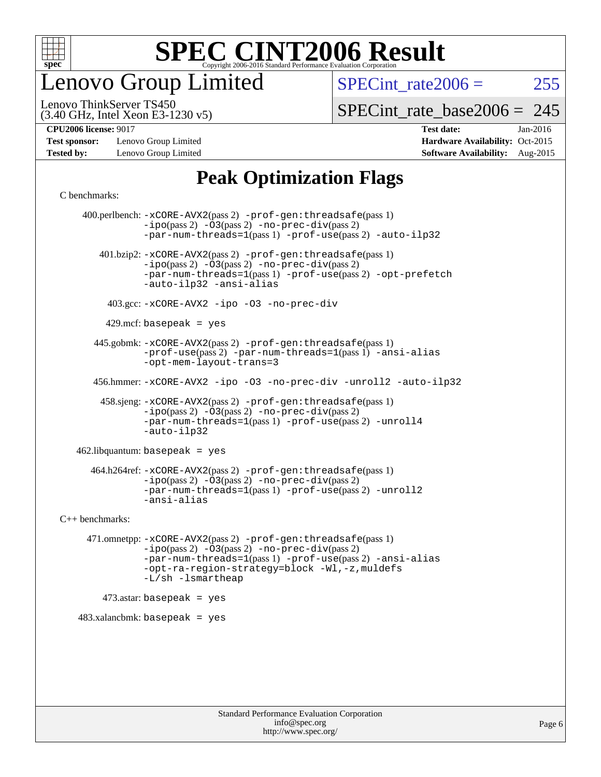

enovo Group Limited

SPECint rate $2006 = 255$ 

(3.40 GHz, Intel Xeon E3-1230 v5) Lenovo ThinkServer TS450

[SPECint\\_rate\\_base2006 =](http://www.spec.org/auto/cpu2006/Docs/result-fields.html#SPECintratebase2006) 245

**[Test sponsor:](http://www.spec.org/auto/cpu2006/Docs/result-fields.html#Testsponsor)** Lenovo Group Limited **[Hardware Availability:](http://www.spec.org/auto/cpu2006/Docs/result-fields.html#HardwareAvailability)** Oct-2015

**[CPU2006 license:](http://www.spec.org/auto/cpu2006/Docs/result-fields.html#CPU2006license)** 9017 **[Test date:](http://www.spec.org/auto/cpu2006/Docs/result-fields.html#Testdate)** Jan-2016 **[Tested by:](http://www.spec.org/auto/cpu2006/Docs/result-fields.html#Testedby)** Lenovo Group Limited **[Software Availability:](http://www.spec.org/auto/cpu2006/Docs/result-fields.html#SoftwareAvailability)** Aug-2015

#### **[Peak Optimization Flags](http://www.spec.org/auto/cpu2006/Docs/result-fields.html#PeakOptimizationFlags)**

[C benchmarks](http://www.spec.org/auto/cpu2006/Docs/result-fields.html#Cbenchmarks):

 400.perlbench: [-xCORE-AVX2](http://www.spec.org/cpu2006/results/res2016q1/cpu2006-20160125-38894.flags.html#user_peakPASS2_CFLAGSPASS2_LDCFLAGS400_perlbench_f-xAVX2_5f5fc0cbe2c9f62c816d3e45806c70d7)(pass 2) [-prof-gen:threadsafe](http://www.spec.org/cpu2006/results/res2016q1/cpu2006-20160125-38894.flags.html#user_peakPASS1_CFLAGSPASS1_LDCFLAGS400_perlbench_prof_gen_21a26eb79f378b550acd7bec9fe4467a)(pass 1)  $-i\text{po}(pass 2) -\overline{03}(pass 2)$  [-no-prec-div](http://www.spec.org/cpu2006/results/res2016q1/cpu2006-20160125-38894.flags.html#user_peakPASS2_CFLAGSPASS2_LDCFLAGS400_perlbench_f-no-prec-div)(pass 2) [-par-num-threads=1](http://www.spec.org/cpu2006/results/res2016q1/cpu2006-20160125-38894.flags.html#user_peakPASS1_CFLAGSPASS1_LDCFLAGS400_perlbench_par_num_threads_786a6ff141b4e9e90432e998842df6c2)(pass 1) [-prof-use](http://www.spec.org/cpu2006/results/res2016q1/cpu2006-20160125-38894.flags.html#user_peakPASS2_CFLAGSPASS2_LDCFLAGS400_perlbench_prof_use_bccf7792157ff70d64e32fe3e1250b55)(pass 2) [-auto-ilp32](http://www.spec.org/cpu2006/results/res2016q1/cpu2006-20160125-38894.flags.html#user_peakCOPTIMIZE400_perlbench_f-auto-ilp32) 401.bzip2: [-xCORE-AVX2](http://www.spec.org/cpu2006/results/res2016q1/cpu2006-20160125-38894.flags.html#user_peakPASS2_CFLAGSPASS2_LDCFLAGS401_bzip2_f-xAVX2_5f5fc0cbe2c9f62c816d3e45806c70d7)(pass 2) [-prof-gen:threadsafe](http://www.spec.org/cpu2006/results/res2016q1/cpu2006-20160125-38894.flags.html#user_peakPASS1_CFLAGSPASS1_LDCFLAGS401_bzip2_prof_gen_21a26eb79f378b550acd7bec9fe4467a)(pass 1)  $-ipo(pass 2) -\overline{O}3(pass 2)$  $-ipo(pass 2) -\overline{O}3(pass 2)$  [-no-prec-div](http://www.spec.org/cpu2006/results/res2016q1/cpu2006-20160125-38894.flags.html#user_peakPASS2_CFLAGSPASS2_LDCFLAGS401_bzip2_f-no-prec-div)(pass 2) [-par-num-threads=1](http://www.spec.org/cpu2006/results/res2016q1/cpu2006-20160125-38894.flags.html#user_peakPASS1_CFLAGSPASS1_LDCFLAGS401_bzip2_par_num_threads_786a6ff141b4e9e90432e998842df6c2)(pass 1) [-prof-use](http://www.spec.org/cpu2006/results/res2016q1/cpu2006-20160125-38894.flags.html#user_peakPASS2_CFLAGSPASS2_LDCFLAGS401_bzip2_prof_use_bccf7792157ff70d64e32fe3e1250b55)(pass 2) [-opt-prefetch](http://www.spec.org/cpu2006/results/res2016q1/cpu2006-20160125-38894.flags.html#user_peakCOPTIMIZE401_bzip2_f-opt-prefetch) [-auto-ilp32](http://www.spec.org/cpu2006/results/res2016q1/cpu2006-20160125-38894.flags.html#user_peakCOPTIMIZE401_bzip2_f-auto-ilp32) [-ansi-alias](http://www.spec.org/cpu2006/results/res2016q1/cpu2006-20160125-38894.flags.html#user_peakCOPTIMIZE401_bzip2_f-ansi-alias) 403.gcc: [-xCORE-AVX2](http://www.spec.org/cpu2006/results/res2016q1/cpu2006-20160125-38894.flags.html#user_peakCOPTIMIZE403_gcc_f-xAVX2_5f5fc0cbe2c9f62c816d3e45806c70d7) [-ipo](http://www.spec.org/cpu2006/results/res2016q1/cpu2006-20160125-38894.flags.html#user_peakCOPTIMIZE403_gcc_f-ipo) [-O3](http://www.spec.org/cpu2006/results/res2016q1/cpu2006-20160125-38894.flags.html#user_peakCOPTIMIZE403_gcc_f-O3) [-no-prec-div](http://www.spec.org/cpu2006/results/res2016q1/cpu2006-20160125-38894.flags.html#user_peakCOPTIMIZE403_gcc_f-no-prec-div)  $429$ .mcf: basepeak = yes 445.gobmk: [-xCORE-AVX2](http://www.spec.org/cpu2006/results/res2016q1/cpu2006-20160125-38894.flags.html#user_peakPASS2_CFLAGSPASS2_LDCFLAGS445_gobmk_f-xAVX2_5f5fc0cbe2c9f62c816d3e45806c70d7)(pass 2) [-prof-gen:threadsafe](http://www.spec.org/cpu2006/results/res2016q1/cpu2006-20160125-38894.flags.html#user_peakPASS1_CFLAGSPASS1_LDCFLAGS445_gobmk_prof_gen_21a26eb79f378b550acd7bec9fe4467a)(pass 1) [-prof-use](http://www.spec.org/cpu2006/results/res2016q1/cpu2006-20160125-38894.flags.html#user_peakPASS2_CFLAGSPASS2_LDCFLAGS445_gobmk_prof_use_bccf7792157ff70d64e32fe3e1250b55)(pass 2) [-par-num-threads=1](http://www.spec.org/cpu2006/results/res2016q1/cpu2006-20160125-38894.flags.html#user_peakPASS1_CFLAGSPASS1_LDCFLAGS445_gobmk_par_num_threads_786a6ff141b4e9e90432e998842df6c2)(pass 1) [-ansi-alias](http://www.spec.org/cpu2006/results/res2016q1/cpu2006-20160125-38894.flags.html#user_peakCOPTIMIZE445_gobmk_f-ansi-alias) [-opt-mem-layout-trans=3](http://www.spec.org/cpu2006/results/res2016q1/cpu2006-20160125-38894.flags.html#user_peakCOPTIMIZE445_gobmk_f-opt-mem-layout-trans_a7b82ad4bd7abf52556d4961a2ae94d5) 456.hmmer: [-xCORE-AVX2](http://www.spec.org/cpu2006/results/res2016q1/cpu2006-20160125-38894.flags.html#user_peakCOPTIMIZE456_hmmer_f-xAVX2_5f5fc0cbe2c9f62c816d3e45806c70d7) [-ipo](http://www.spec.org/cpu2006/results/res2016q1/cpu2006-20160125-38894.flags.html#user_peakCOPTIMIZE456_hmmer_f-ipo) [-O3](http://www.spec.org/cpu2006/results/res2016q1/cpu2006-20160125-38894.flags.html#user_peakCOPTIMIZE456_hmmer_f-O3) [-no-prec-div](http://www.spec.org/cpu2006/results/res2016q1/cpu2006-20160125-38894.flags.html#user_peakCOPTIMIZE456_hmmer_f-no-prec-div) [-unroll2](http://www.spec.org/cpu2006/results/res2016q1/cpu2006-20160125-38894.flags.html#user_peakCOPTIMIZE456_hmmer_f-unroll_784dae83bebfb236979b41d2422d7ec2) [-auto-ilp32](http://www.spec.org/cpu2006/results/res2016q1/cpu2006-20160125-38894.flags.html#user_peakCOPTIMIZE456_hmmer_f-auto-ilp32) 458.sjeng: [-xCORE-AVX2](http://www.spec.org/cpu2006/results/res2016q1/cpu2006-20160125-38894.flags.html#user_peakPASS2_CFLAGSPASS2_LDCFLAGS458_sjeng_f-xAVX2_5f5fc0cbe2c9f62c816d3e45806c70d7)(pass 2) [-prof-gen:threadsafe](http://www.spec.org/cpu2006/results/res2016q1/cpu2006-20160125-38894.flags.html#user_peakPASS1_CFLAGSPASS1_LDCFLAGS458_sjeng_prof_gen_21a26eb79f378b550acd7bec9fe4467a)(pass 1)  $-i\text{po}(pass 2) -03(pass 2) -no-prec-div(pass 2)$  $-i\text{po}(pass 2) -03(pass 2) -no-prec-div(pass 2)$  $-i\text{po}(pass 2) -03(pass 2) -no-prec-div(pass 2)$ [-par-num-threads=1](http://www.spec.org/cpu2006/results/res2016q1/cpu2006-20160125-38894.flags.html#user_peakPASS1_CFLAGSPASS1_LDCFLAGS458_sjeng_par_num_threads_786a6ff141b4e9e90432e998842df6c2)(pass 1) [-prof-use](http://www.spec.org/cpu2006/results/res2016q1/cpu2006-20160125-38894.flags.html#user_peakPASS2_CFLAGSPASS2_LDCFLAGS458_sjeng_prof_use_bccf7792157ff70d64e32fe3e1250b55)(pass 2) [-unroll4](http://www.spec.org/cpu2006/results/res2016q1/cpu2006-20160125-38894.flags.html#user_peakCOPTIMIZE458_sjeng_f-unroll_4e5e4ed65b7fd20bdcd365bec371b81f) [-auto-ilp32](http://www.spec.org/cpu2006/results/res2016q1/cpu2006-20160125-38894.flags.html#user_peakCOPTIMIZE458_sjeng_f-auto-ilp32) 462.libquantum: basepeak = yes 464.h264ref: [-xCORE-AVX2](http://www.spec.org/cpu2006/results/res2016q1/cpu2006-20160125-38894.flags.html#user_peakPASS2_CFLAGSPASS2_LDCFLAGS464_h264ref_f-xAVX2_5f5fc0cbe2c9f62c816d3e45806c70d7)(pass 2) [-prof-gen:threadsafe](http://www.spec.org/cpu2006/results/res2016q1/cpu2006-20160125-38894.flags.html#user_peakPASS1_CFLAGSPASS1_LDCFLAGS464_h264ref_prof_gen_21a26eb79f378b550acd7bec9fe4467a)(pass 1) [-ipo](http://www.spec.org/cpu2006/results/res2016q1/cpu2006-20160125-38894.flags.html#user_peakPASS2_CFLAGSPASS2_LDCFLAGS464_h264ref_f-ipo)(pass 2) [-O3](http://www.spec.org/cpu2006/results/res2016q1/cpu2006-20160125-38894.flags.html#user_peakPASS2_CFLAGSPASS2_LDCFLAGS464_h264ref_f-O3)(pass 2) [-no-prec-div](http://www.spec.org/cpu2006/results/res2016q1/cpu2006-20160125-38894.flags.html#user_peakPASS2_CFLAGSPASS2_LDCFLAGS464_h264ref_f-no-prec-div)(pass 2) [-par-num-threads=1](http://www.spec.org/cpu2006/results/res2016q1/cpu2006-20160125-38894.flags.html#user_peakPASS1_CFLAGSPASS1_LDCFLAGS464_h264ref_par_num_threads_786a6ff141b4e9e90432e998842df6c2)(pass 1) [-prof-use](http://www.spec.org/cpu2006/results/res2016q1/cpu2006-20160125-38894.flags.html#user_peakPASS2_CFLAGSPASS2_LDCFLAGS464_h264ref_prof_use_bccf7792157ff70d64e32fe3e1250b55)(pass 2) [-unroll2](http://www.spec.org/cpu2006/results/res2016q1/cpu2006-20160125-38894.flags.html#user_peakCOPTIMIZE464_h264ref_f-unroll_784dae83bebfb236979b41d2422d7ec2) [-ansi-alias](http://www.spec.org/cpu2006/results/res2016q1/cpu2006-20160125-38894.flags.html#user_peakCOPTIMIZE464_h264ref_f-ansi-alias) [C++ benchmarks:](http://www.spec.org/auto/cpu2006/Docs/result-fields.html#CXXbenchmarks) 471.omnetpp: [-xCORE-AVX2](http://www.spec.org/cpu2006/results/res2016q1/cpu2006-20160125-38894.flags.html#user_peakPASS2_CXXFLAGSPASS2_LDCXXFLAGS471_omnetpp_f-xAVX2_5f5fc0cbe2c9f62c816d3e45806c70d7)(pass 2) [-prof-gen:threadsafe](http://www.spec.org/cpu2006/results/res2016q1/cpu2006-20160125-38894.flags.html#user_peakPASS1_CXXFLAGSPASS1_LDCXXFLAGS471_omnetpp_prof_gen_21a26eb79f378b550acd7bec9fe4467a)(pass 1) [-ipo](http://www.spec.org/cpu2006/results/res2016q1/cpu2006-20160125-38894.flags.html#user_peakPASS2_CXXFLAGSPASS2_LDCXXFLAGS471_omnetpp_f-ipo)(pass 2) [-O3](http://www.spec.org/cpu2006/results/res2016q1/cpu2006-20160125-38894.flags.html#user_peakPASS2_CXXFLAGSPASS2_LDCXXFLAGS471_omnetpp_f-O3)(pass 2) [-no-prec-div](http://www.spec.org/cpu2006/results/res2016q1/cpu2006-20160125-38894.flags.html#user_peakPASS2_CXXFLAGSPASS2_LDCXXFLAGS471_omnetpp_f-no-prec-div)(pass 2) [-par-num-threads=1](http://www.spec.org/cpu2006/results/res2016q1/cpu2006-20160125-38894.flags.html#user_peakPASS1_CXXFLAGSPASS1_LDCXXFLAGS471_omnetpp_par_num_threads_786a6ff141b4e9e90432e998842df6c2)(pass 1) [-prof-use](http://www.spec.org/cpu2006/results/res2016q1/cpu2006-20160125-38894.flags.html#user_peakPASS2_CXXFLAGSPASS2_LDCXXFLAGS471_omnetpp_prof_use_bccf7792157ff70d64e32fe3e1250b55)(pass 2) [-ansi-alias](http://www.spec.org/cpu2006/results/res2016q1/cpu2006-20160125-38894.flags.html#user_peakCXXOPTIMIZE471_omnetpp_f-ansi-alias) [-opt-ra-region-strategy=block](http://www.spec.org/cpu2006/results/res2016q1/cpu2006-20160125-38894.flags.html#user_peakCXXOPTIMIZE471_omnetpp_f-opt-ra-region-strategy_a0a37c372d03933b2a18d4af463c1f69) [-Wl,-z,muldefs](http://www.spec.org/cpu2006/results/res2016q1/cpu2006-20160125-38894.flags.html#user_peakEXTRA_LDFLAGS471_omnetpp_link_force_multiple1_74079c344b956b9658436fd1b6dd3a8a) [-L/sh -lsmartheap](http://www.spec.org/cpu2006/results/res2016q1/cpu2006-20160125-38894.flags.html#user_peakEXTRA_LIBS471_omnetpp_SmartHeap_32f6c82aa1ed9c52345d30cf6e4a0499)  $473$ .astar: basepeak = yes 483.xalancbmk: basepeak = yes